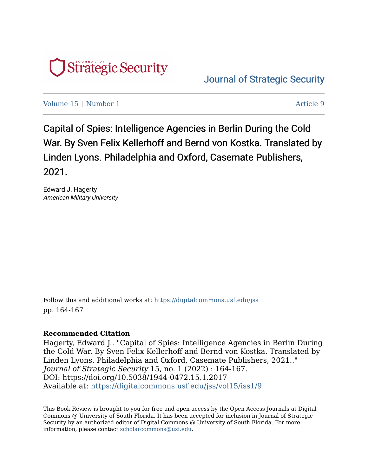

[Journal of Strategic Security](https://digitalcommons.usf.edu/jss) 

[Volume 15](https://digitalcommons.usf.edu/jss/vol15) | [Number 1](https://digitalcommons.usf.edu/jss/vol15/iss1) Article 9

Capital of Spies: Intelligence Agencies in Berlin During the Cold War. By Sven Felix Kellerhoff and Bernd von Kostka. Translated by Linden Lyons. Philadelphia and Oxford, Casemate Publishers, 2021.

Edward J. Hagerty American Military University

Follow this and additional works at: [https://digitalcommons.usf.edu/jss](https://digitalcommons.usf.edu/jss?utm_source=digitalcommons.usf.edu%2Fjss%2Fvol15%2Fiss1%2F9&utm_medium=PDF&utm_campaign=PDFCoverPages) pp. 164-167

## **Recommended Citation**

Hagerty, Edward J.. "Capital of Spies: Intelligence Agencies in Berlin During the Cold War. By Sven Felix Kellerhoff and Bernd von Kostka. Translated by Linden Lyons. Philadelphia and Oxford, Casemate Publishers, 2021.." Journal of Strategic Security 15, no. 1 (2022) : 164-167. DOI: https://doi.org/10.5038/1944-0472.15.1.2017 Available at: [https://digitalcommons.usf.edu/jss/vol15/iss1/9](https://digitalcommons.usf.edu/jss/vol15/iss1/9?utm_source=digitalcommons.usf.edu%2Fjss%2Fvol15%2Fiss1%2F9&utm_medium=PDF&utm_campaign=PDFCoverPages) 

This Book Review is brought to you for free and open access by the Open Access Journals at Digital Commons @ University of South Florida. It has been accepted for inclusion in Journal of Strategic Security by an authorized editor of Digital Commons @ University of South Florida. For more information, please contact [scholarcommons@usf.edu.](mailto:scholarcommons@usf.edu)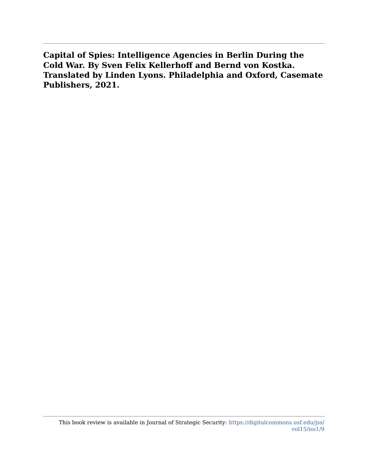**Capital of Spies: Intelligence Agencies in Berlin During the Cold War. By Sven Felix Kellerhoff and Bernd von Kostka. Translated by Linden Lyons. Philadelphia and Oxford, Casemate Publishers, 2021.**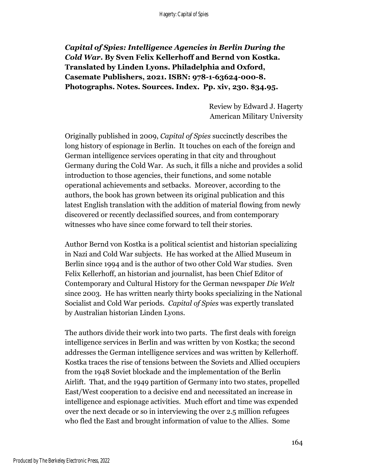*Capital of Spies: Intelligence Agencies in Berlin During the Cold War***. By Sven Felix Kellerhoff and Bernd von Kostka. Translated by Linden Lyons. Philadelphia and Oxford, Casemate Publishers, 2021. ISBN: 978-1-63624-000-8. Photographs. Notes. Sources. Index. Pp. xiv, 230. \$34.95.**

> Review by Edward J. Hagerty American Military University

Originally published in 2009, *Capital of Spies* succinctly describes the long history of espionage in Berlin. It touches on each of the foreign and German intelligence services operating in that city and throughout Germany during the Cold War. As such, it fills a niche and provides a solid introduction to those agencies, their functions, and some notable operational achievements and setbacks. Moreover, according to the authors, the book has grown between its original publication and this latest English translation with the addition of material flowing from newly discovered or recently declassified sources, and from contemporary witnesses who have since come forward to tell their stories.

Author Bernd von Kostka is a political scientist and historian specializing in Nazi and Cold War subjects. He has worked at the Allied Museum in Berlin since 1994 and is the author of two other Cold War studies. Sven Felix Kellerhoff, an historian and journalist, has been Chief Editor of Contemporary and Cultural History for the German newspaper *Die Welt* since 2003. He has written nearly thirty books specializing in the National Socialist and Cold War periods. *Capital of Spies* was expertly translated by Australian historian Linden Lyons.

The authors divide their work into two parts. The first deals with foreign intelligence services in Berlin and was written by von Kostka; the second addresses the German intelligence services and was written by Kellerhoff. Kostka traces the rise of tensions between the Soviets and Allied occupiers from the 1948 Soviet blockade and the implementation of the Berlin Airlift. That, and the 1949 partition of Germany into two states, propelled East/West cooperation to a decisive end and necessitated an increase in intelligence and espionage activities. Much effort and time was expended over the next decade or so in interviewing the over 2.5 million refugees who fled the East and brought information of value to the Allies. Some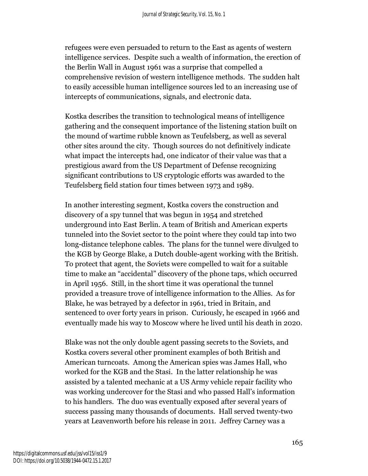refugees were even persuaded to return to the East as agents of western intelligence services. Despite such a wealth of information, the erection of the Berlin Wall in August 1961 was a surprise that compelled a comprehensive revision of western intelligence methods. The sudden halt to easily accessible human intelligence sources led to an increasing use of intercepts of communications, signals, and electronic data.

Kostka describes the transition to technological means of intelligence gathering and the consequent importance of the listening station built on the mound of wartime rubble known as Teufelsberg, as well as several other sites around the city. Though sources do not definitively indicate what impact the intercepts had, one indicator of their value was that a prestigious award from the US Department of Defense recognizing significant contributions to US cryptologic efforts was awarded to the Teufelsberg field station four times between 1973 and 1989.

In another interesting segment, Kostka covers the construction and discovery of a spy tunnel that was begun in 1954 and stretched underground into East Berlin. A team of British and American experts tunneled into the Soviet sector to the point where they could tap into two long-distance telephone cables. The plans for the tunnel were divulged to the KGB by George Blake, a Dutch double-agent working with the British. To protect that agent, the Soviets were compelled to wait for a suitable time to make an "accidental" discovery of the phone taps, which occurred in April 1956. Still, in the short time it was operational the tunnel provided a treasure trove of intelligence information to the Allies. As for Blake, he was betrayed by a defector in 1961, tried in Britain, and sentenced to over forty years in prison. Curiously, he escaped in 1966 and eventually made his way to Moscow where he lived until his death in 2020.

Blake was not the only double agent passing secrets to the Soviets, and Kostka covers several other prominent examples of both British and American turncoats. Among the American spies was James Hall, who worked for the KGB and the Stasi. In the latter relationship he was assisted by a talented mechanic at a US Army vehicle repair facility who was working undercover for the Stasi and who passed Hall's information to his handlers. The duo was eventually exposed after several years of success passing many thousands of documents. Hall served twenty-two years at Leavenworth before his release in 2011. Jeffrey Carney was a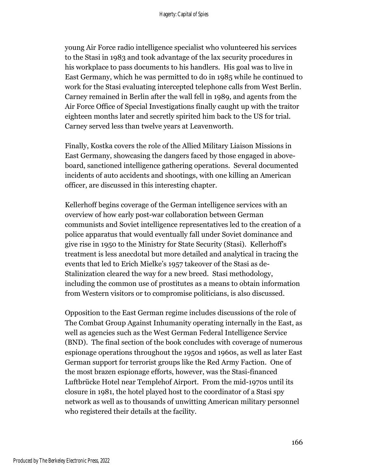young Air Force radio intelligence specialist who volunteered his services to the Stasi in 1983 and took advantage of the lax security procedures in his workplace to pass documents to his handlers. His goal was to live in East Germany, which he was permitted to do in 1985 while he continued to work for the Stasi evaluating intercepted telephone calls from West Berlin. Carney remained in Berlin after the wall fell in 1989, and agents from the Air Force Office of Special Investigations finally caught up with the traitor eighteen months later and secretly spirited him back to the US for trial. Carney served less than twelve years at Leavenworth.

Finally, Kostka covers the role of the Allied Military Liaison Missions in East Germany, showcasing the dangers faced by those engaged in aboveboard, sanctioned intelligence gathering operations. Several documented incidents of auto accidents and shootings, with one killing an American officer, are discussed in this interesting chapter.

Kellerhoff begins coverage of the German intelligence services with an overview of how early post-war collaboration between German communists and Soviet intelligence representatives led to the creation of a police apparatus that would eventually fall under Soviet dominance and give rise in 1950 to the Ministry for State Security (Stasi). Kellerhoff's treatment is less anecdotal but more detailed and analytical in tracing the events that led to Erich Mielke's 1957 takeover of the Stasi as de-Stalinization cleared the way for a new breed. Stasi methodology, including the common use of prostitutes as a means to obtain information from Western visitors or to compromise politicians, is also discussed.

Opposition to the East German regime includes discussions of the role of The Combat Group Against Inhumanity operating internally in the East, as well as agencies such as the West German Federal Intelligence Service (BND). The final section of the book concludes with coverage of numerous espionage operations throughout the 1950s and 1960s, as well as later East German support for terrorist groups like the Red Army Faction. One of the most brazen espionage efforts, however, was the Stasi-financed Luftbrücke Hotel near Templehof Airport. From the mid-1970s until its closure in 1981, the hotel played host to the coordinator of a Stasi spy network as well as to thousands of unwitting American military personnel who registered their details at the facility.